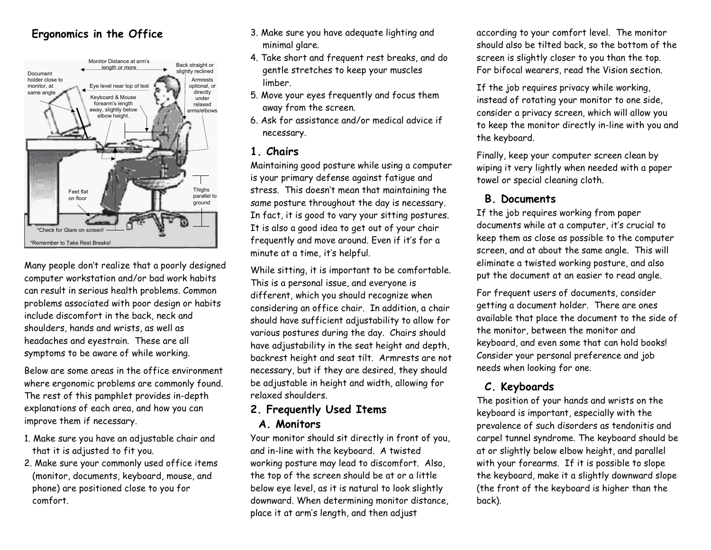## Ergonomics in the Office



Many people don't realize that a poorly designed computer workstation and/or bad work habits can result in serious health problems. Common problems associated with poor design or habits include discomfort in the back, neck and shoulders, hands and wrists, as well as headaches and eyestrain. These are all symptoms to be aware of while working.

Below are some areas in the office environment where ergonomic problems are commonly found. The rest of this pamphlet provides in-depth explanations of each area, and how you can improve them if necessary.

- 1. Make sure you have an adjustable chair and that it is adjusted to fit you.
- 2. Make sure your commonly used office items (monitor, documents, keyboard, mouse, and phone) are positioned close to you for comfort.
- 3. Make sure you have adequate lighting and minimal glare.
- 4. Take short and frequent rest breaks, and do gentle stretches to keep your muscles limber.
- 5. Move your eyes frequently and focus them away from the screen.
- 6. Ask for assistance and/or medical advice if necessary.

## 1. Chairs

Maintaining good posture while using a computer is your primary defense against fatigue and stress. This doesn't mean that maintaining the same posture throughout the day is necessary. In fact, it is good to vary your sitting postures. It is also a good idea to get out of your chair frequently and move around. Even if it's for a minute at a time, it's helpful.

While sitting, it is important to be comfortable. This is a personal issue, and everyone is different, which you should recognize when considering an office chair. In addition, a chair should have sufficient adjustability to allow for various postures during the day. Chairs should have adjustability in the seat height and depth, backrest height and seat tilt. Armrests are not necessary, but if they are desired, they should be adjustable in height and width, allowing for relaxed shoulders.

# 2. Frequently Used Items

### A. Monitors

Your monitor should sit directly in front of you, and in-line with the keyboard. A twisted working posture may lead to discomfort. Also, the top of the screen should be at or a little below eye level, as it is natural to look slightly downward. When determining monitor distance, place it at arm's length, and then adjust

according to your comfort level. The monitor should also be tilted back, so the bottom of the screen is slightly closer to you than the top. For bifocal wearers, read the Vision section.

If the job requires privacy while working, instead of rotating your monitor to one side, consider a privacy screen, which will allow you to keep the monitor directly in-line with you and the keyboard.

Finally, keep your computer screen clean by wiping it very lightly when needed with a paper towel or special cleaning cloth.

# B. Documents

If the job requires working from paper documents while at a computer, it's crucial to keep them as close as possible to the computer screen, and at about the same angle. This will eliminate a twisted working posture, and also put the document at an easier to read angle.

For frequent users of documents, consider getting a document holder. There are ones available that place the document to the side of the monitor, between the monitor and keyboard, and even some that can hold books! Consider your personal preference and job needs when looking for one.

# C. Keyboards

The position of your hands and wrists on the keyboard is important, especially with the prevalence of such disorders as tendonitis and carpel tunnel syndrome. The keyboard should be at or slightly below elbow height, and parallel with your forearms. If it is possible to slope the keyboard, make it a slightly downward slope (the front of the keyboard is higher than the back).